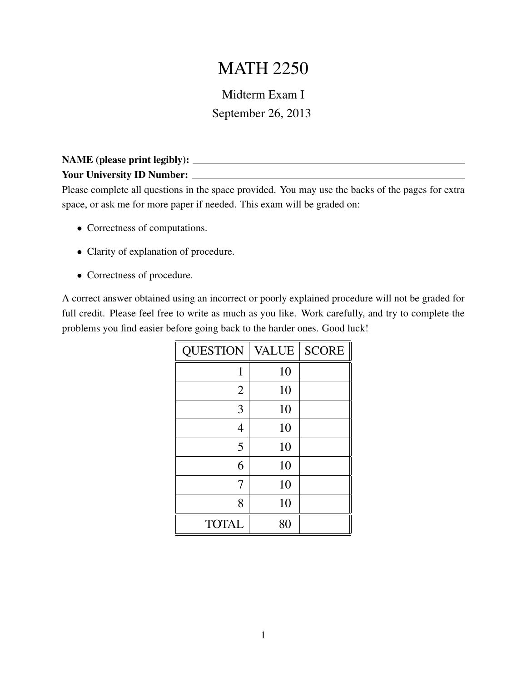## MATH 2250

## Midterm Exam I September 26, 2013

## NAME (please print legibly): Your University ID Number:

Please complete all questions in the space provided. You may use the backs of the pages for extra space, or ask me for more paper if needed. This exam will be graded on:

- Correctness of computations.
- Clarity of explanation of procedure.
- Correctness of procedure.

A correct answer obtained using an incorrect or poorly explained procedure will not be graded for full credit. Please feel free to write as much as you like. Work carefully, and try to complete the problems you find easier before going back to the harder ones. Good luck!

| <b>QUESTION</b> | <b>VALUE</b> | <b>SCORE</b> |
|-----------------|--------------|--------------|
| 1               | 10           |              |
| $\overline{2}$  | 10           |              |
| 3               | 10           |              |
| 4               | 10           |              |
| 5               | 10           |              |
| 6               | 10           |              |
| 7               | 10           |              |
| 8               | 10           |              |
| <b>TOTAL</b>    | 80           |              |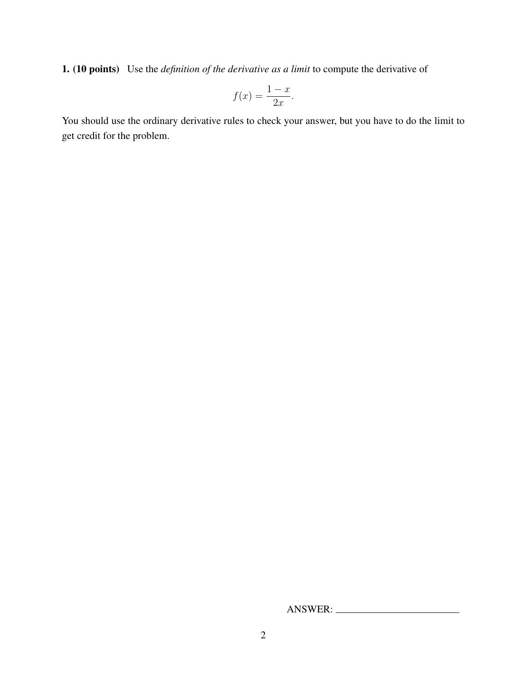1. (10 points) Use the *definition of the derivative as a limit* to compute the derivative of

$$
f(x) = \frac{1-x}{2x}.
$$

You should use the ordinary derivative rules to check your answer, but you have to do the limit to get credit for the problem.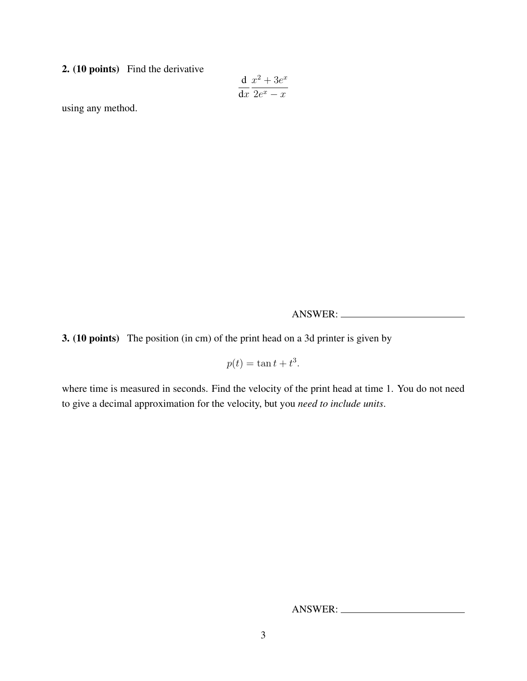2. (10 points) Find the derivative

$$
\frac{\mathrm{d}}{\mathrm{d}x} \frac{x^2 + 3e^x}{2e^x - x}
$$

using any method.

ANSWER:

3. (10 points) The position (in cm) of the print head on a 3d printer is given by

 $p(t) = \tan t + t^3$ .

where time is measured in seconds. Find the velocity of the print head at time 1. You do not need to give a decimal approximation for the velocity, but you *need to include units*.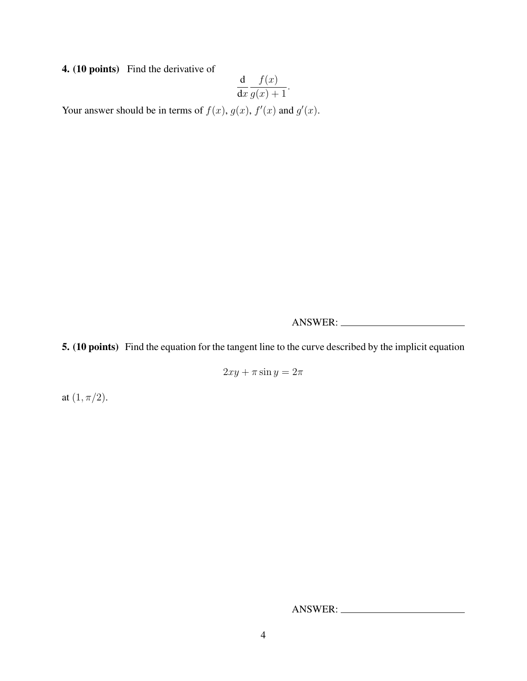4. (10 points) Find the derivative of

$$
\frac{\mathrm{d}}{\mathrm{d}x} \frac{f(x)}{g(x) + 1}.
$$

Your answer should be in terms of  $f(x)$ ,  $g(x)$ ,  $f'(x)$  and  $g'(x)$ .

ANSWER:

5. (10 points) Find the equation for the tangent line to the curve described by the implicit equation

 $2xy + \pi \sin y = 2\pi$ 

at  $(1, \pi/2)$ .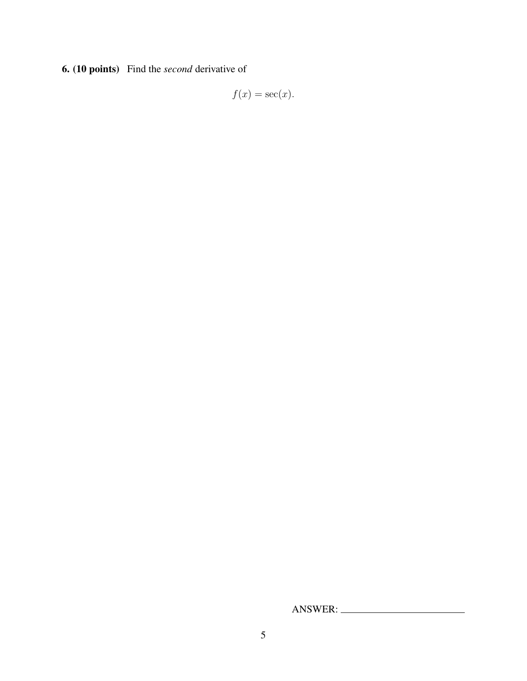6. (10 points) Find the *second* derivative of

 $f(x) = \sec(x)$ .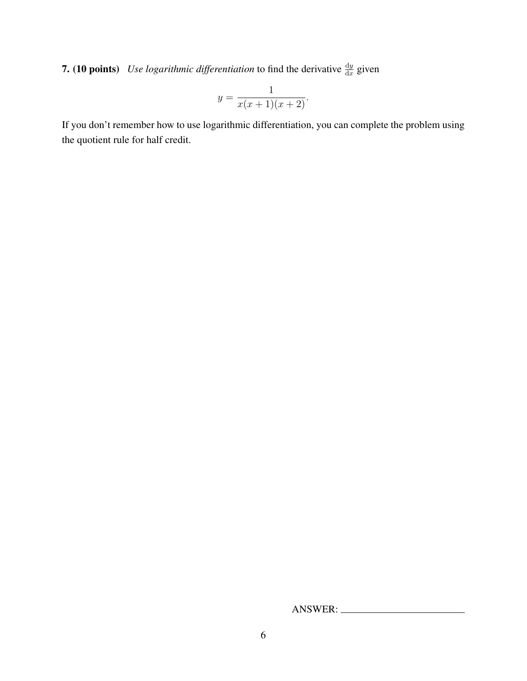**7.** (10 points) Use logarithmic differentiation to find the derivative  $\frac{dy}{dx}$  given

$$
y = \frac{1}{x(x+1)(x+2)}.
$$

If you don't remember how to use logarithmic differentiation, you can complete the problem using the quotient rule for half credit.